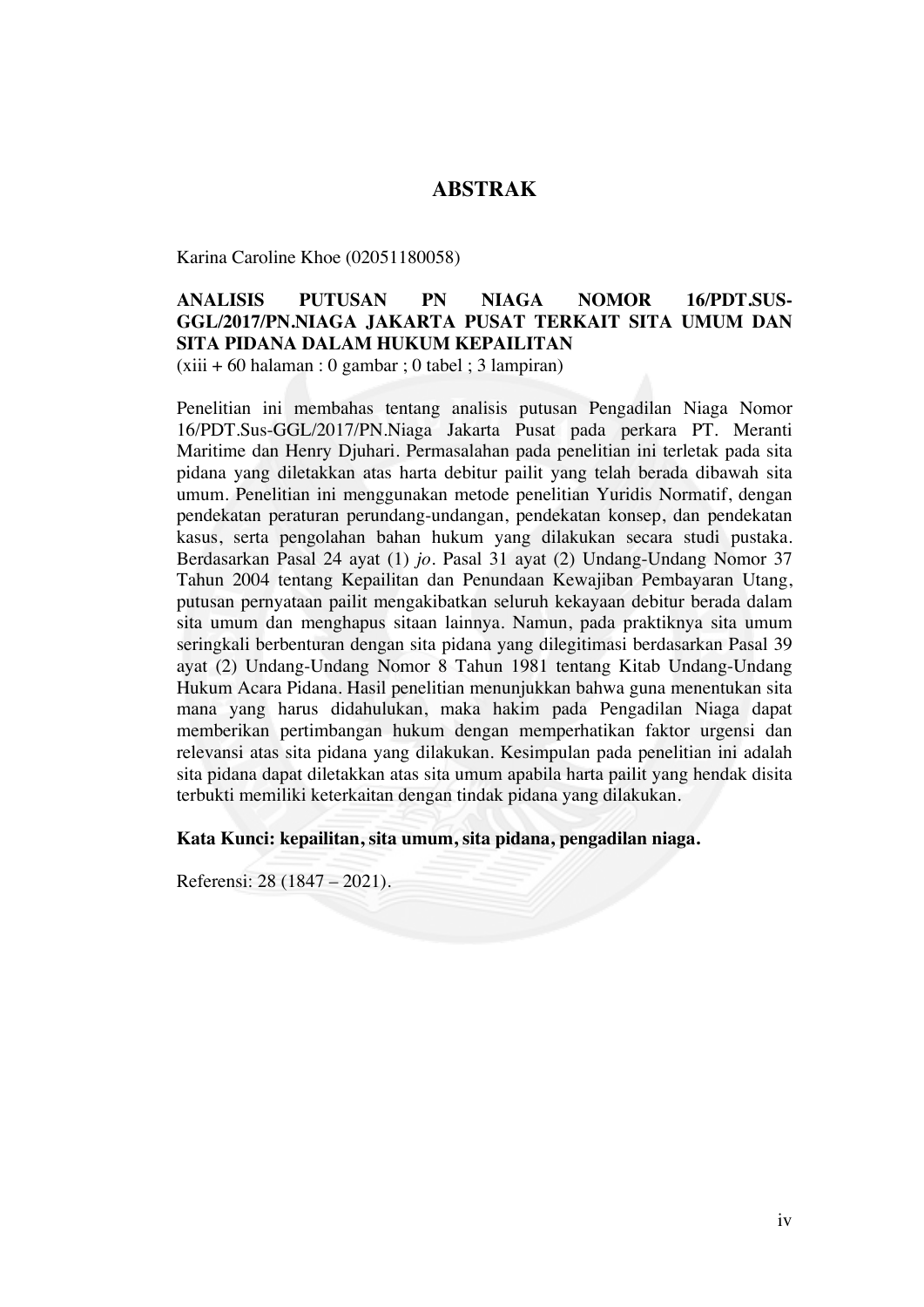## **ABSTRAK**

Karina Caroline Khoe (02051180058)

## **ANALISIS PUTUSAN PN NIAGA NOMOR 16/PDT.SUS-GGL/2017/PN.NIAGA JAKARTA PUSAT TERKAIT SITA UMUM DAN SITA PIDANA DALAM HUKUM KEPAILITAN**

 $(xiii + 60$  halaman : 0 gambar ; 0 tabel ; 3 lampiran)

Penelitian ini membahas tentang analisis putusan Pengadilan Niaga Nomor 16/PDT.Sus-GGL/2017/PN.Niaga Jakarta Pusat pada perkara PT. Meranti Maritime dan Henry Djuhari. Permasalahan pada penelitian ini terletak pada sita pidana yang diletakkan atas harta debitur pailit yang telah berada dibawah sita umum. Penelitian ini menggunakan metode penelitian Yuridis Normatif, dengan pendekatan peraturan perundang-undangan, pendekatan konsep, dan pendekatan kasus, serta pengolahan bahan hukum yang dilakukan secara studi pustaka. Berdasarkan Pasal 24 ayat (1) *jo.* Pasal 31 ayat (2) Undang-Undang Nomor 37 Tahun 2004 tentang Kepailitan dan Penundaan Kewajiban Pembayaran Utang, putusan pernyataan pailit mengakibatkan seluruh kekayaan debitur berada dalam sita umum dan menghapus sitaan lainnya. Namun, pada praktiknya sita umum seringkali berbenturan dengan sita pidana yang dilegitimasi berdasarkan Pasal 39 ayat (2) Undang-Undang Nomor 8 Tahun 1981 tentang Kitab Undang-Undang Hukum Acara Pidana. Hasil penelitian menunjukkan bahwa guna menentukan sita mana yang harus didahulukan, maka hakim pada Pengadilan Niaga dapat memberikan pertimbangan hukum dengan memperhatikan faktor urgensi dan relevansi atas sita pidana yang dilakukan. Kesimpulan pada penelitian ini adalah sita pidana dapat diletakkan atas sita umum apabila harta pailit yang hendak disita terbukti memiliki keterkaitan dengan tindak pidana yang dilakukan.

**Kata Kunci: kepailitan, sita umum, sita pidana, pengadilan niaga.**

Referensi: 28 (1847 – 2021).